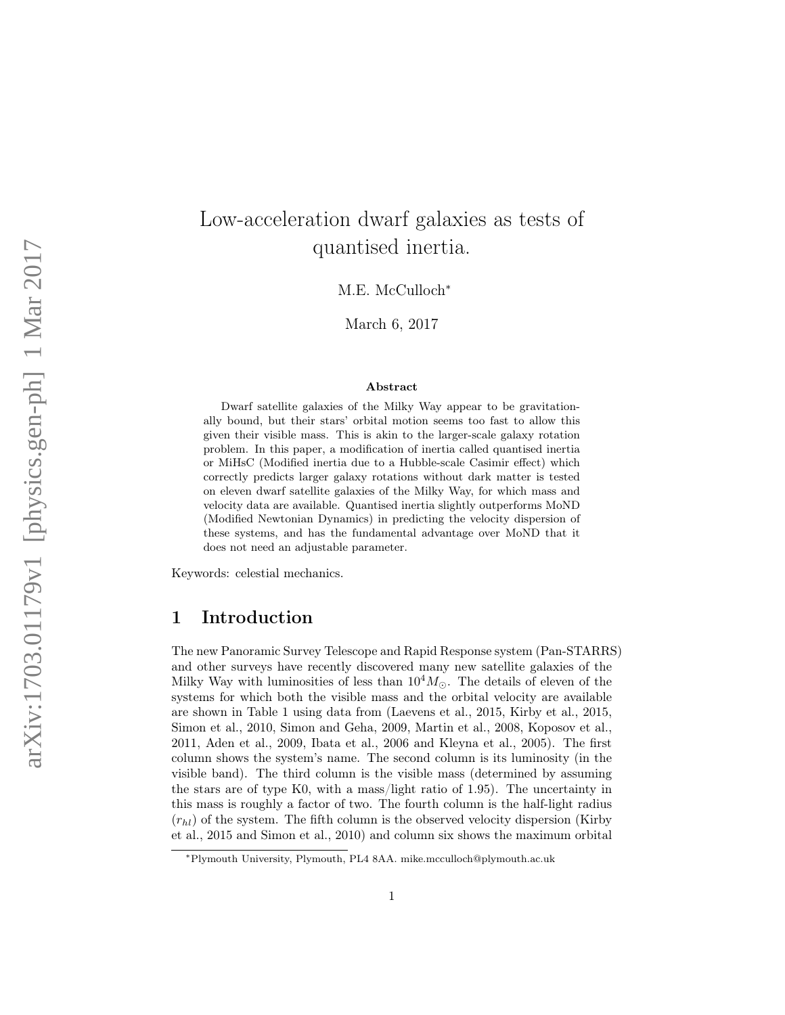# Low-acceleration dwarf galaxies as tests of quantised inertia.

M.E. McCulloch<sup>\*</sup>

March 6, 2017

#### Abstract

Dwarf satellite galaxies of the Milky Way appear to be gravitationally bound, but their stars' orbital motion seems too fast to allow this given their visible mass. This is akin to the larger-scale galaxy rotation problem. In this paper, a modification of inertia called quantised inertia or MiHsC (Modified inertia due to a Hubble-scale Casimir effect) which correctly predicts larger galaxy rotations without dark matter is tested on eleven dwarf satellite galaxies of the Milky Way, for which mass and velocity data are available. Quantised inertia slightly outperforms MoND (Modified Newtonian Dynamics) in predicting the velocity dispersion of these systems, and has the fundamental advantage over MoND that it does not need an adjustable parameter.

Keywords: celestial mechanics.

## 1 Introduction

The new Panoramic Survey Telescope and Rapid Response system (Pan-STARRS) and other surveys have recently discovered many new satellite galaxies of the Milky Way with luminosities of less than  $10^4 M_{\odot}$ . The details of eleven of the systems for which both the visible mass and the orbital velocity are available are shown in Table 1 using data from (Laevens et al., 2015, Kirby et al., 2015, Simon et al., 2010, Simon and Geha, 2009, Martin et al., 2008, Koposov et al., 2011, Aden et al., 2009, Ibata et al., 2006 and Kleyna et al., 2005). The first column shows the system's name. The second column is its luminosity (in the visible band). The third column is the visible mass (determined by assuming the stars are of type K0, with a mass/light ratio of 1.95). The uncertainty in this mass is roughly a factor of two. The fourth column is the half-light radius  $(r<sub>hl</sub>)$  of the system. The fifth column is the observed velocity dispersion (Kirby et al., 2015 and Simon et al., 2010) and column six shows the maximum orbital

<sup>∗</sup>Plymouth University, Plymouth, PL4 8AA. mike.mcculloch@plymouth.ac.uk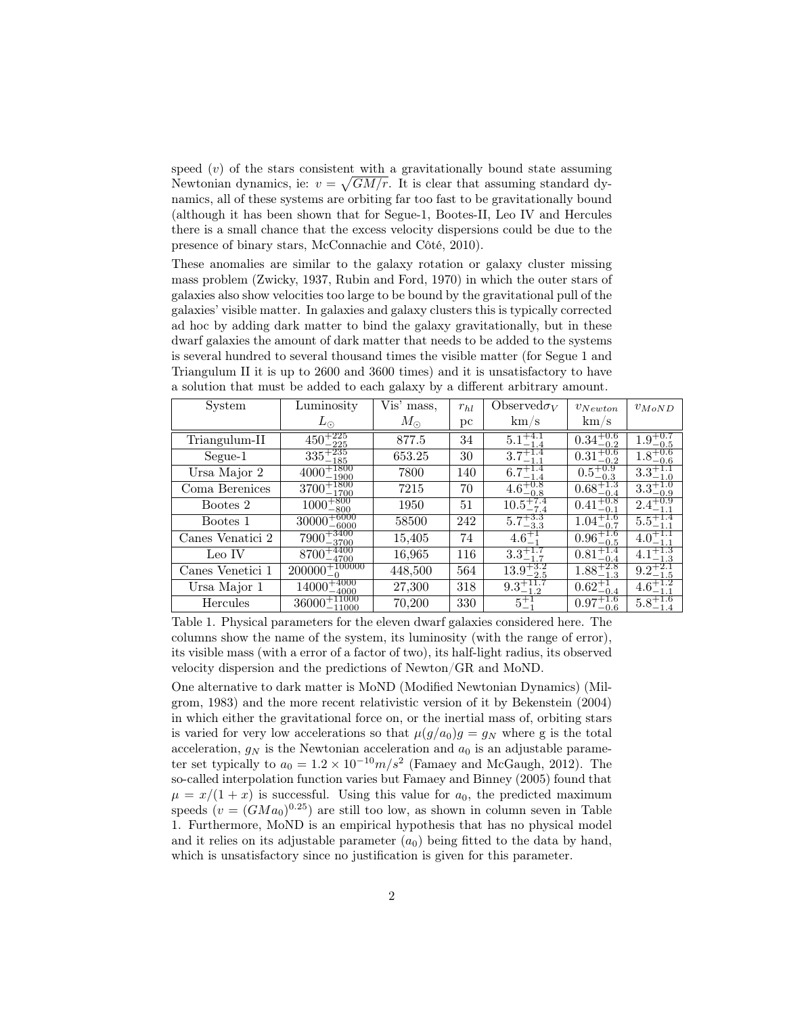speed  $(v)$  of the stars consistent with a gravitationally bound state assuming Newtonian dynamics, ie:  $v = \sqrt{GM/r}$ . It is clear that assuming standard dynamics, all of these systems are orbiting far too fast to be gravitationally bound (although it has been shown that for Segue-1, Bootes-II, Leo IV and Hercules there is a small chance that the excess velocity dispersions could be due to the presence of binary stars, McConnachie and Côté, 2010).

These anomalies are similar to the galaxy rotation or galaxy cluster missing mass problem (Zwicky, 1937, Rubin and Ford, 1970) in which the outer stars of galaxies also show velocities too large to be bound by the gravitational pull of the galaxies' visible matter. In galaxies and galaxy clusters this is typically corrected ad hoc by adding dark matter to bind the galaxy gravitationally, but in these dwarf galaxies the amount of dark matter that needs to be added to the systems is several hundred to several thousand times the visible matter (for Segue 1 and Triangulum II it is up to 2600 and 3600 times) and it is unsatisfactory to have a solution that must be added to each galaxy by a different arbitrary amount.

| System           | Luminosity                            | Vis' mass,  | $r_{hl}$ | Observed $\sigma_V$             | $v_{Newton}$                          | $v_{MoND}$          |
|------------------|---------------------------------------|-------------|----------|---------------------------------|---------------------------------------|---------------------|
|                  | $L_{\odot}$                           | $M_{\odot}$ | рc       | km/s                            | km/s                                  |                     |
| Triangulum-II    | $\overline{450^{+225}_{-225}}$        | 877.5       | 34       | $5.1_{-1.4}^{+4.1}$             | $0.34^{+0.6}_{-0.2}$                  | $-0.5$              |
| Segue-1          | $335^{+235}_{-185}$                   | 653.25      | 30       | $3.7^{+1.4}_{-1.1}$             | $0.31_{-0.2}^{+0.6}$<br>$-0.2$        | $1.8^{+0.6}_{-0.6}$ |
| Ursa Major 2     | $4000^{+1800}_{-1000}$<br>$-1900$     | 7800        | 140      | $6.7^{+1.4}_{-1.4}$             | $\overline{0.5^{+0.9}_{-0.3}}$        | $3.3^+$             |
| Coma Berenices   | $3700^{+1800}_{-1700}$                | 7215        | 70       | $\overline{4.6^{+0.8}_{-0.8}}$  | $0.68^{+1.3}_{-0.4}$                  | $3.3^+$<br>-0.9     |
| Bootes 2         | $1000 + \frac{800}{800}$<br>800       | 1950        | 51       | $10.5^{+7.4}_{-7.4}$            | $0.41^{+0.8}_{-0.1}$                  | $2.4^{+0.9}_{-1.1}$ |
| Bootes 1         | $30000 + 6000$<br>-6000               | 58500       | 242      | $5.7^{+3.3}_{-3.3}$             | $1.04^{+1.6}_{-0.7}$                  | $5.5^{+}$           |
| Canes Venatici 2 | $7900^{+3400}_{-3700}$<br>$-3700$     | 15,405      | 74       | $4.6^{+1}_{-1}$                 | $0.96^{+1}_{-0}$<br>$-0.5$            |                     |
| Leo IV           | $8700^{+4400}_{-4700}$<br>$-4700$     | 16,965      | 116      | $3.3^{+1.7}_{-1.7}$             | $0.81^{+1.4}_{-0.4}$<br>$-0.4$        |                     |
| Canes Venetici 1 | $+100000$<br>200000                   | 448,500     | 564      | $13.9^{+3.2}_{-2.5}$<br>$-2.5$  | $1.88^{+2.8}_{-1.2}$<br>$-1.3$        |                     |
| Ursa Major 1     | 4000<br>14000<br>–4000                | 27,300      | 318      | $\overline{9.3}^{+11.1}_{-1.2}$ | $0.62^{+}$<br>$-0.4$                  |                     |
| Hercules         | $36000^{+11000}_{-11000}$<br>$-11000$ | 70,200      | 330      | $5^{+1}_{-1}$                   | $0.97^{+1.6}_{-0.6}$<br>$^{\rm -0.6}$ |                     |

Table 1. Physical parameters for the eleven dwarf galaxies considered here. The columns show the name of the system, its luminosity (with the range of error), its visible mass (with a error of a factor of two), its half-light radius, its observed velocity dispersion and the predictions of Newton/GR and MoND.

One alternative to dark matter is MoND (Modified Newtonian Dynamics) (Milgrom, 1983) and the more recent relativistic version of it by Bekenstein (2004) in which either the gravitational force on, or the inertial mass of, orbiting stars is varied for very low accelerations so that  $\mu(g/a_0)g = g_N$  where g is the total acceleration,  $g_N$  is the Newtonian acceleration and  $a_0$  is an adjustable parameter set typically to  $a_0 = 1.2 \times 10^{-10} m/s^2$  (Famaey and McGaugh, 2012). The so-called interpolation function varies but Famaey and Binney (2005) found that  $\mu = x/(1+x)$  is successful. Using this value for  $a_0$ , the predicted maximum speeds  $(v = (GMa_0)^{0.25})$  are still too low, as shown in column seven in Table 1. Furthermore, MoND is an empirical hypothesis that has no physical model and it relies on its adjustable parameter  $(a_0)$  being fitted to the data by hand, which is unsatisfactory since no justification is given for this parameter.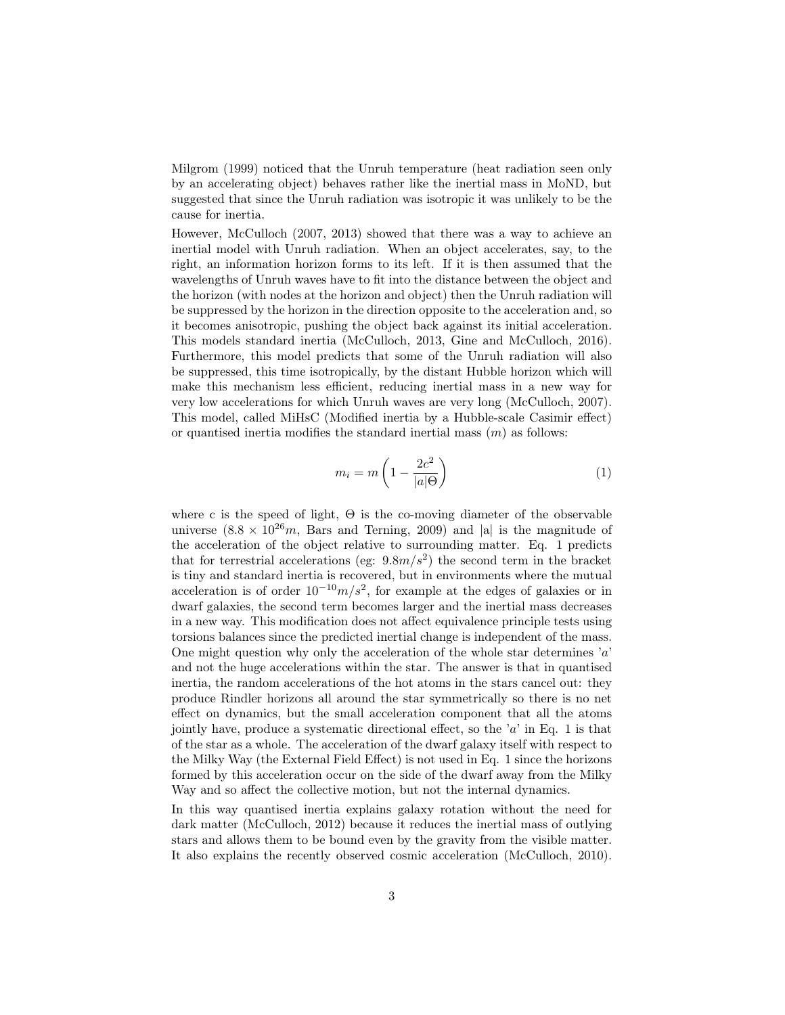Milgrom (1999) noticed that the Unruh temperature (heat radiation seen only by an accelerating object) behaves rather like the inertial mass in MoND, but suggested that since the Unruh radiation was isotropic it was unlikely to be the cause for inertia.

However, McCulloch (2007, 2013) showed that there was a way to achieve an inertial model with Unruh radiation. When an object accelerates, say, to the right, an information horizon forms to its left. If it is then assumed that the wavelengths of Unruh waves have to fit into the distance between the object and the horizon (with nodes at the horizon and object) then the Unruh radiation will be suppressed by the horizon in the direction opposite to the acceleration and, so it becomes anisotropic, pushing the object back against its initial acceleration. This models standard inertia (McCulloch, 2013, Gine and McCulloch, 2016). Furthermore, this model predicts that some of the Unruh radiation will also be suppressed, this time isotropically, by the distant Hubble horizon which will make this mechanism less efficient, reducing inertial mass in a new way for very low accelerations for which Unruh waves are very long (McCulloch, 2007). This model, called MiHsC (Modified inertia by a Hubble-scale Casimir effect) or quantised inertia modifies the standard inertial mass  $(m)$  as follows:

$$
m_i = m \left( 1 - \frac{2c^2}{|a|\Theta} \right) \tag{1}
$$

where c is the speed of light,  $\Theta$  is the co-moving diameter of the observable universe  $(8.8 \times 10^{26}m)$ , Bars and Terning, 2009) and |a| is the magnitude of the acceleration of the object relative to surrounding matter. Eq. 1 predicts that for terrestrial accelerations (eg:  $9.8m/s^2$ ) the second term in the bracket is tiny and standard inertia is recovered, but in environments where the mutual acceleration is of order  $10^{-10}m/s^2$ , for example at the edges of galaxies or in dwarf galaxies, the second term becomes larger and the inertial mass decreases in a new way. This modification does not affect equivalence principle tests using torsions balances since the predicted inertial change is independent of the mass. One might question why only the acceleration of the whole star determines  $a'$ and not the huge accelerations within the star. The answer is that in quantised inertia, the random accelerations of the hot atoms in the stars cancel out: they produce Rindler horizons all around the star symmetrically so there is no net effect on dynamics, but the small acceleration component that all the atoms jointly have, produce a systematic directional effect, so the  $a'$  in Eq. 1 is that of the star as a whole. The acceleration of the dwarf galaxy itself with respect to the Milky Way (the External Field Effect) is not used in Eq. 1 since the horizons formed by this acceleration occur on the side of the dwarf away from the Milky Way and so affect the collective motion, but not the internal dynamics.

In this way quantised inertia explains galaxy rotation without the need for dark matter (McCulloch, 2012) because it reduces the inertial mass of outlying stars and allows them to be bound even by the gravity from the visible matter. It also explains the recently observed cosmic acceleration (McCulloch, 2010).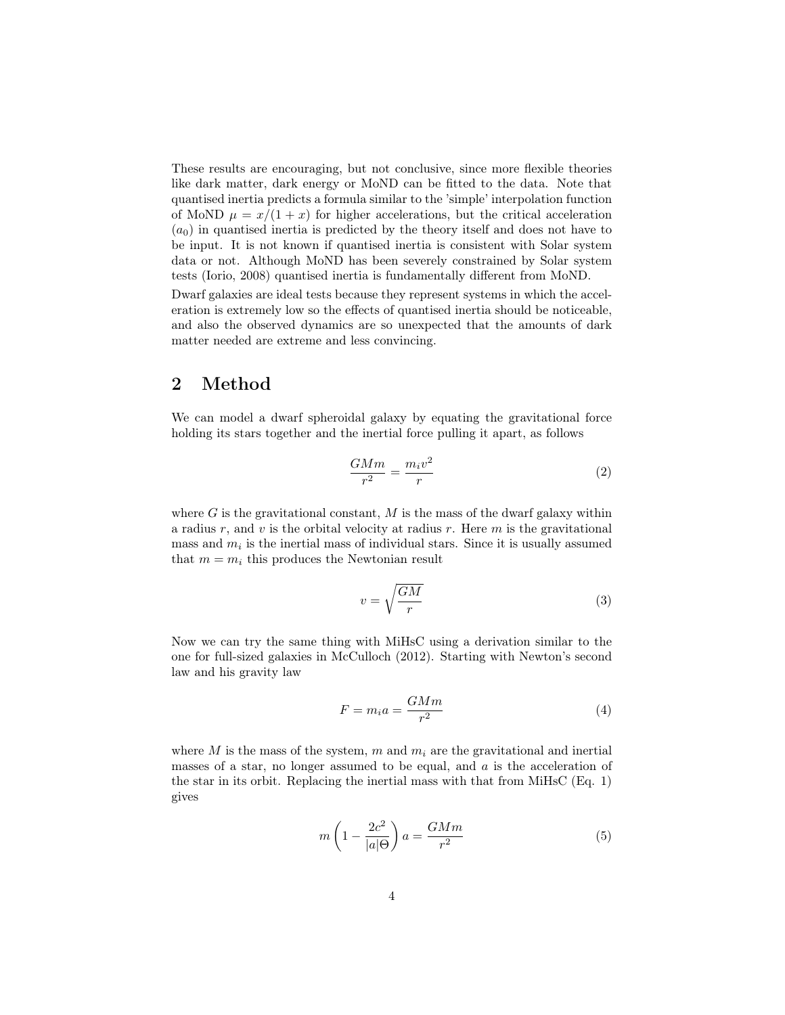These results are encouraging, but not conclusive, since more flexible theories like dark matter, dark energy or MoND can be fitted to the data. Note that quantised inertia predicts a formula similar to the 'simple' interpolation function of MoND  $\mu = x/(1+x)$  for higher accelerations, but the critical acceleration  $(a_0)$  in quantised inertia is predicted by the theory itself and does not have to be input. It is not known if quantised inertia is consistent with Solar system data or not. Although MoND has been severely constrained by Solar system tests (Iorio, 2008) quantised inertia is fundamentally different from MoND.

Dwarf galaxies are ideal tests because they represent systems in which the acceleration is extremely low so the effects of quantised inertia should be noticeable, and also the observed dynamics are so unexpected that the amounts of dark matter needed are extreme and less convincing.

### 2 Method

We can model a dwarf spheroidal galaxy by equating the gravitational force holding its stars together and the inertial force pulling it apart, as follows

$$
\frac{GMm}{r^2} = \frac{m_i v^2}{r} \tag{2}
$$

where  $G$  is the gravitational constant,  $M$  is the mass of the dwarf galaxy within a radius  $r$ , and  $v$  is the orbital velocity at radius  $r$ . Here  $m$  is the gravitational mass and  $m_i$  is the inertial mass of individual stars. Since it is usually assumed that  $m = m_i$  this produces the Newtonian result

$$
v = \sqrt{\frac{GM}{r}}\tag{3}
$$

Now we can try the same thing with MiHsC using a derivation similar to the one for full-sized galaxies in McCulloch (2012). Starting with Newton's second law and his gravity law

$$
F = m_i a = \frac{GMm}{r^2} \tag{4}
$$

where M is the mass of the system, m and  $m_i$  are the gravitational and inertial masses of a star, no longer assumed to be equal, and  $a$  is the acceleration of the star in its orbit. Replacing the inertial mass with that from MiHsC (Eq. 1) gives

$$
m\left(1 - \frac{2c^2}{|a|\Theta}\right)a = \frac{GMm}{r^2} \tag{5}
$$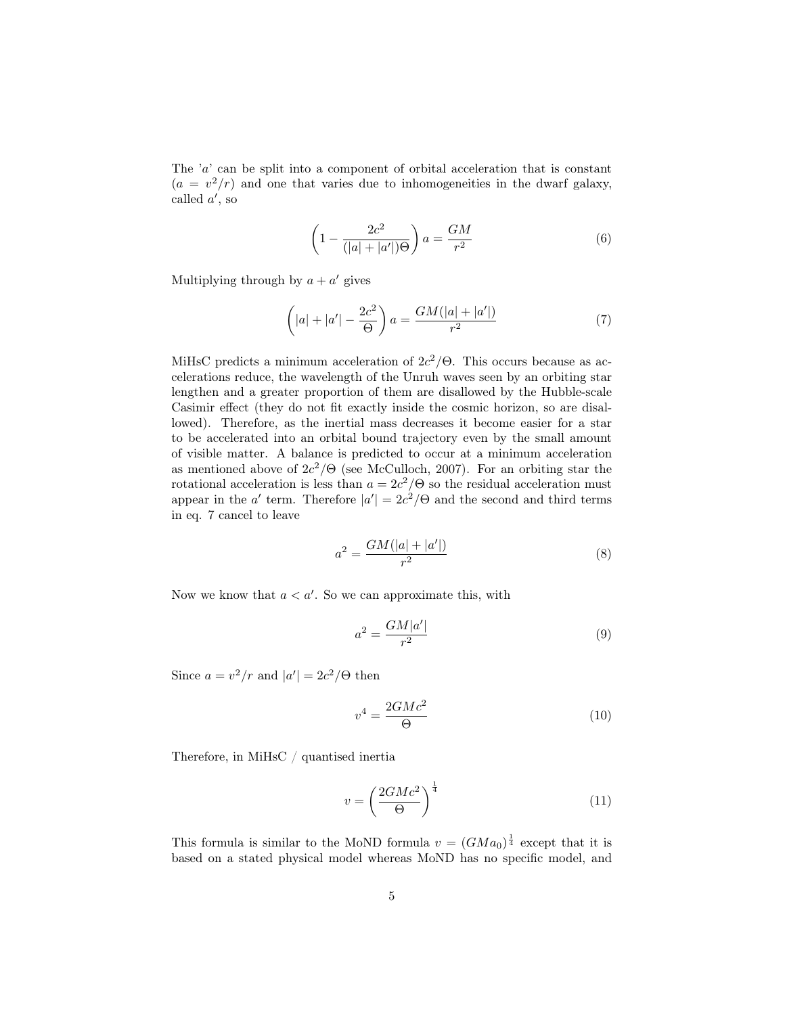The 'a' can be split into a component of orbital acceleration that is constant  $(a = v<sup>2</sup>/r)$  and one that varies due to inhomogeneities in the dwarf galaxy, called  $a'$ , so

$$
\left(1 - \frac{2c^2}{(|a| + |a'|)\Theta}\right) a = \frac{GM}{r^2} \tag{6}
$$

Multiplying through by  $a + a'$  gives

$$
\left(|a| + |a'| - \frac{2c^2}{\Theta}\right)a = \frac{GM(|a| + |a'|)}{r^2} \tag{7}
$$

MiHsC predicts a minimum acceleration of  $2c^2/\Theta$ . This occurs because as accelerations reduce, the wavelength of the Unruh waves seen by an orbiting star lengthen and a greater proportion of them are disallowed by the Hubble-scale Casimir effect (they do not fit exactly inside the cosmic horizon, so are disallowed). Therefore, as the inertial mass decreases it become easier for a star to be accelerated into an orbital bound trajectory even by the small amount of visible matter. A balance is predicted to occur at a minimum acceleration as mentioned above of  $2c^2/\Theta$  (see McCulloch, 2007). For an orbiting star the rotational acceleration is less than  $a = 2c^2/\Theta$  so the residual acceleration must appear in the a' term. Therefore  $|a'| = 2c^2/\Theta$  and the second and third terms in eq. 7 cancel to leave

$$
a^2 = \frac{GM(|a| + |a'|)}{r^2} \tag{8}
$$

Now we know that  $a < a'$ . So we can approximate this, with

$$
a^2 = \frac{GM|a'|}{r^2} \tag{9}
$$

Since  $a = v^2/r$  and  $|a'| = 2c^2/\Theta$  then

$$
v^4 = \frac{2GMc^2}{\Theta} \tag{10}
$$

Therefore, in MiHsC / quantised inertia

$$
v = \left(\frac{2GMc^2}{\Theta}\right)^{\frac{1}{4}}\tag{11}
$$

This formula is similar to the MoND formula  $v = (GMa_0)^{\frac{1}{4}}$  except that it is based on a stated physical model whereas MoND has no specific model, and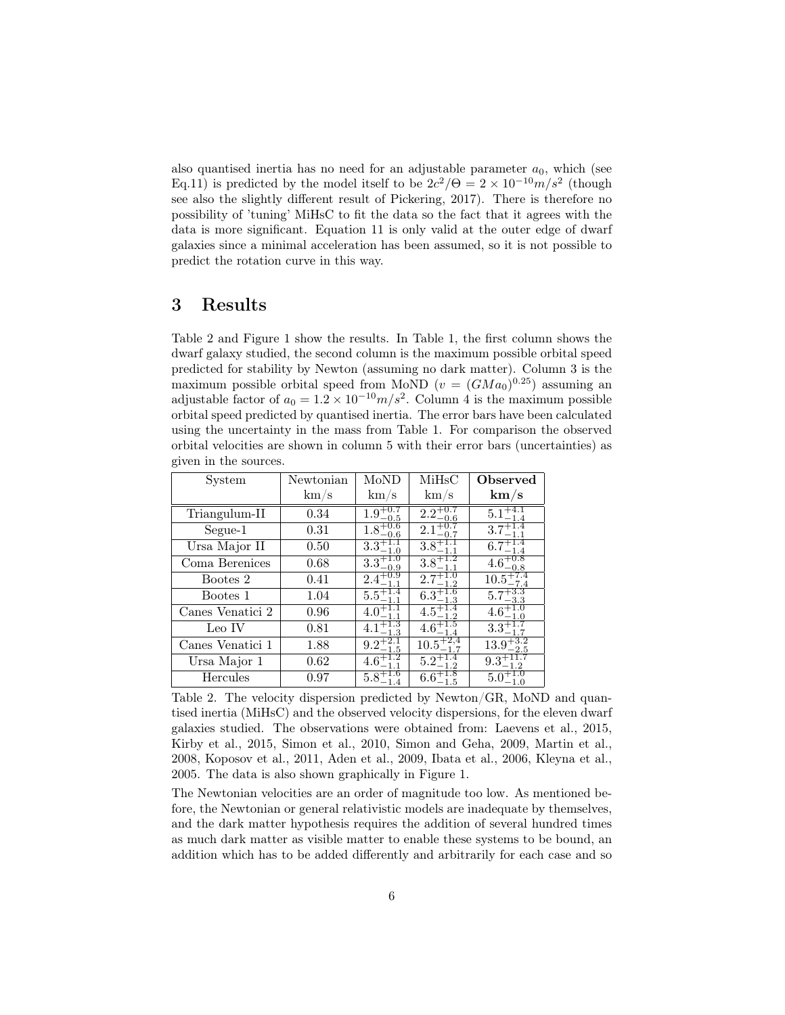also quantised inertia has no need for an adjustable parameter  $a_0$ , which (see Eq.11) is predicted by the model itself to be  $2c^2/\Theta = 2 \times 10^{-10} m/s^2$  (though see also the slightly different result of Pickering, 2017). There is therefore no possibility of 'tuning' MiHsC to fit the data so the fact that it agrees with the data is more significant. Equation 11 is only valid at the outer edge of dwarf galaxies since a minimal acceleration has been assumed, so it is not possible to predict the rotation curve in this way.

## 3 Results

Table 2 and Figure 1 show the results. In Table 1, the first column shows the dwarf galaxy studied, the second column is the maximum possible orbital speed predicted for stability by Newton (assuming no dark matter). Column 3 is the maximum possible orbital speed from MoND  $(v = (GMa_0)^{0.25})$  assuming an adjustable factor of  $a_0 = 1.2 \times 10^{-10} m/s^2$ . Column 4 is the maximum possible orbital speed predicted by quantised inertia. The error bars have been calculated using the uncertainty in the mass from Table 1. For comparison the observed orbital velocities are shown in column 5 with their error bars (uncertainties) as given in the sources.

| System           | Newtonian  | MoND                          | MiHsC                         | Observed             |
|------------------|------------|-------------------------------|-------------------------------|----------------------|
|                  | $\rm km/s$ | $\rm km/s$                    | km/s                          | km/s                 |
| Triangulum-II    | 0.34       | $1.9^{+0.7}_{-0.5}$<br>$-0.5$ | $2.2^{+0.7}_{-0.6}$<br>$-0.6$ | 5.1                  |
| Segue-1          | 0.31       | $1.8^{+0.6}_{-0.6}$<br>-0.6   | 2.1                           | $3.7^{+1.4}_{-1.1}$  |
| Ursa Major II    | 0.50       | $3.3^{+1.1}_{-1.0}$           | $3.8^{+}_{-}$                 | $6.7^{+}$            |
| Coma Berenices   | 0.68       | $3.3^{+1.0}_{-0.9}$<br>$-0.9$ | $3.8^{+1.2}_{-1.1}$           | $4.6^{+0.8}_{-0.8}$  |
| Bootes 2         | 0.41       | $2.4^{+0.9}_{-1.1}$           | 2.7<br>$-1.2$                 | $10.5^{+7.4}_{-7.4}$ |
| Bootes 1         | 1.04       | $5.5^{+1.4}_{-1.1}$           | $6.3^{+1.0}_{-1.3}$           | 5.7<br>$-3.3$        |
| Canes Venatici 2 | 0.96       | $4.0^\circ$                   |                               | $4.6^{+}$            |
| Leo IV           | 0.81       | $4.1^{+}$                     | $4.6^+$                       | $3.3^+_-$            |
| Canes Venatici 1 | 1.88       | $9.2^+$                       | 10.5                          | 13.9<br>-2.5         |
| Ursa Major 1     | 0.62       | $4.6^{+1}_{-1}$               | $5.2^+$                       | $9.3^{+}$            |
| Hercules         | 0.97       | $5.8^{+1.6}_{-1.4}$           | $6.6^+$<br>1.5                | 5.0                  |

Table 2. The velocity dispersion predicted by Newton/GR, MoND and quantised inertia (MiHsC) and the observed velocity dispersions, for the eleven dwarf galaxies studied. The observations were obtained from: Laevens et al., 2015, Kirby et al., 2015, Simon et al., 2010, Simon and Geha, 2009, Martin et al., 2008, Koposov et al., 2011, Aden et al., 2009, Ibata et al., 2006, Kleyna et al., 2005. The data is also shown graphically in Figure 1.

The Newtonian velocities are an order of magnitude too low. As mentioned before, the Newtonian or general relativistic models are inadequate by themselves, and the dark matter hypothesis requires the addition of several hundred times as much dark matter as visible matter to enable these systems to be bound, an addition which has to be added differently and arbitrarily for each case and so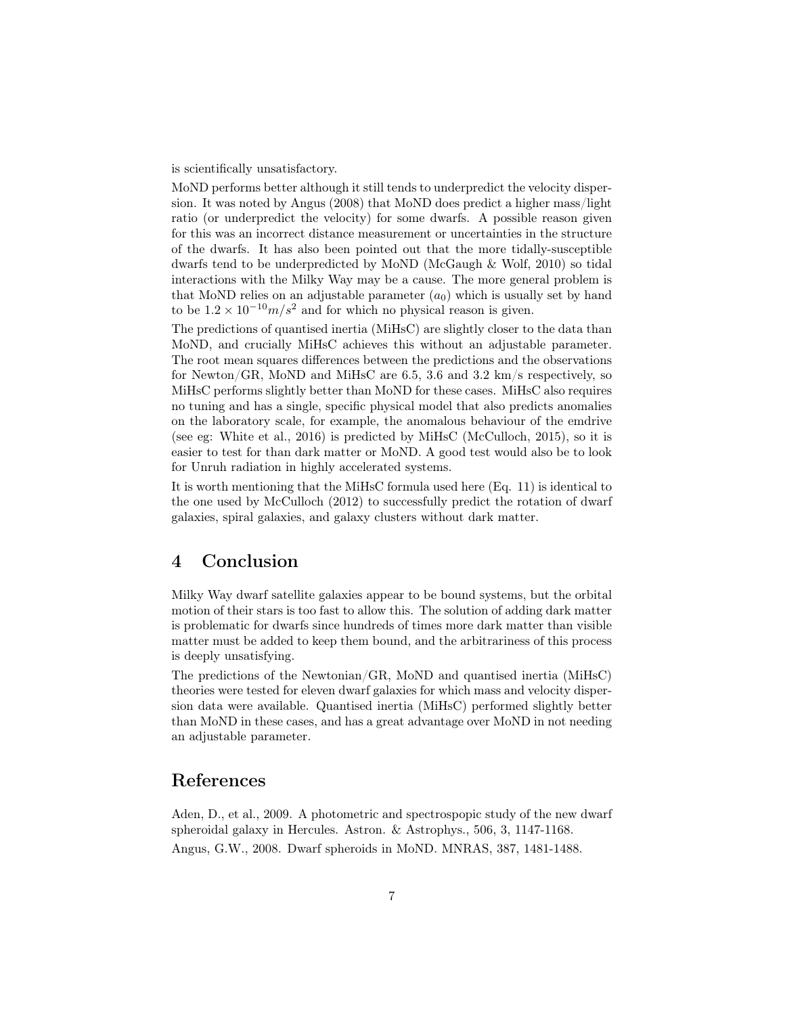is scientifically unsatisfactory.

MoND performs better although it still tends to underpredict the velocity dispersion. It was noted by Angus (2008) that MoND does predict a higher mass/light ratio (or underpredict the velocity) for some dwarfs. A possible reason given for this was an incorrect distance measurement or uncertainties in the structure of the dwarfs. It has also been pointed out that the more tidally-susceptible dwarfs tend to be underpredicted by MoND (McGaugh & Wolf, 2010) so tidal interactions with the Milky Way may be a cause. The more general problem is that MoND relies on an adjustable parameter  $(a_0)$  which is usually set by hand to be  $1.2 \times 10^{-10} m/s^2$  and for which no physical reason is given.

The predictions of quantised inertia (MiHsC) are slightly closer to the data than MoND, and crucially MiHsC achieves this without an adjustable parameter. The root mean squares differences between the predictions and the observations for Newton/GR, MoND and MiHsC are 6.5, 3.6 and 3.2 km/s respectively, so MiHsC performs slightly better than MoND for these cases. MiHsC also requires no tuning and has a single, specific physical model that also predicts anomalies on the laboratory scale, for example, the anomalous behaviour of the emdrive (see eg: White et al., 2016) is predicted by MiHsC (McCulloch, 2015), so it is easier to test for than dark matter or MoND. A good test would also be to look for Unruh radiation in highly accelerated systems.

It is worth mentioning that the MiHsC formula used here (Eq. 11) is identical to the one used by McCulloch (2012) to successfully predict the rotation of dwarf galaxies, spiral galaxies, and galaxy clusters without dark matter.

### 4 Conclusion

Milky Way dwarf satellite galaxies appear to be bound systems, but the orbital motion of their stars is too fast to allow this. The solution of adding dark matter is problematic for dwarfs since hundreds of times more dark matter than visible matter must be added to keep them bound, and the arbitrariness of this process is deeply unsatisfying.

The predictions of the Newtonian/GR, MoND and quantised inertia (MiHsC) theories were tested for eleven dwarf galaxies for which mass and velocity dispersion data were available. Quantised inertia (MiHsC) performed slightly better than MoND in these cases, and has a great advantage over MoND in not needing an adjustable parameter.

### References

Aden, D., et al., 2009. A photometric and spectrospopic study of the new dwarf spheroidal galaxy in Hercules. Astron. & Astrophys., 506, 3, 1147-1168. Angus, G.W., 2008. Dwarf spheroids in MoND. MNRAS, 387, 1481-1488.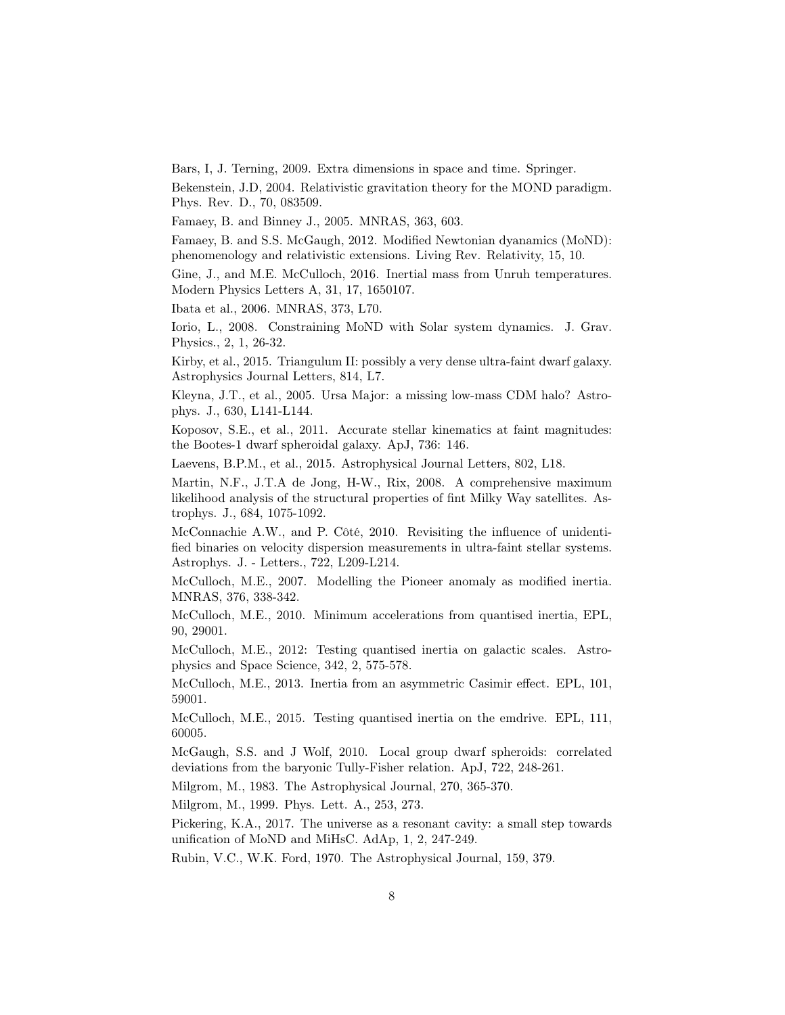Bars, I, J. Terning, 2009. Extra dimensions in space and time. Springer.

Bekenstein, J.D, 2004. Relativistic gravitation theory for the MOND paradigm. Phys. Rev. D., 70, 083509.

Famaey, B. and Binney J., 2005. MNRAS, 363, 603.

Famaey, B. and S.S. McGaugh, 2012. Modified Newtonian dyanamics (MoND): phenomenology and relativistic extensions. Living Rev. Relativity, 15, 10.

Gine, J., and M.E. McCulloch, 2016. Inertial mass from Unruh temperatures. Modern Physics Letters A, 31, 17, 1650107.

Ibata et al., 2006. MNRAS, 373, L70.

Iorio, L., 2008. Constraining MoND with Solar system dynamics. J. Grav. Physics., 2, 1, 26-32.

Kirby, et al., 2015. Triangulum II: possibly a very dense ultra-faint dwarf galaxy. Astrophysics Journal Letters, 814, L7.

Kleyna, J.T., et al., 2005. Ursa Major: a missing low-mass CDM halo? Astrophys. J., 630, L141-L144.

Koposov, S.E., et al., 2011. Accurate stellar kinematics at faint magnitudes: the Bootes-1 dwarf spheroidal galaxy. ApJ, 736: 146.

Laevens, B.P.M., et al., 2015. Astrophysical Journal Letters, 802, L18.

Martin, N.F., J.T.A de Jong, H-W., Rix, 2008. A comprehensive maximum likelihood analysis of the structural properties of fint Milky Way satellites. Astrophys. J., 684, 1075-1092.

McConnachie A.W., and P. Côté, 2010. Revisiting the influence of unidentified binaries on velocity dispersion measurements in ultra-faint stellar systems. Astrophys. J. - Letters., 722, L209-L214.

McCulloch, M.E., 2007. Modelling the Pioneer anomaly as modified inertia. MNRAS, 376, 338-342.

McCulloch, M.E., 2010. Minimum accelerations from quantised inertia, EPL, 90, 29001.

McCulloch, M.E., 2012: Testing quantised inertia on galactic scales. Astrophysics and Space Science, 342, 2, 575-578.

McCulloch, M.E., 2013. Inertia from an asymmetric Casimir effect. EPL, 101, 59001.

McCulloch, M.E., 2015. Testing quantised inertia on the emdrive. EPL, 111, 60005.

McGaugh, S.S. and J Wolf, 2010. Local group dwarf spheroids: correlated deviations from the baryonic Tully-Fisher relation. ApJ, 722, 248-261.

Milgrom, M., 1983. The Astrophysical Journal, 270, 365-370.

Milgrom, M., 1999. Phys. Lett. A., 253, 273.

Pickering, K.A., 2017. The universe as a resonant cavity: a small step towards unification of MoND and MiHsC. AdAp, 1, 2, 247-249.

Rubin, V.C., W.K. Ford, 1970. The Astrophysical Journal, 159, 379.